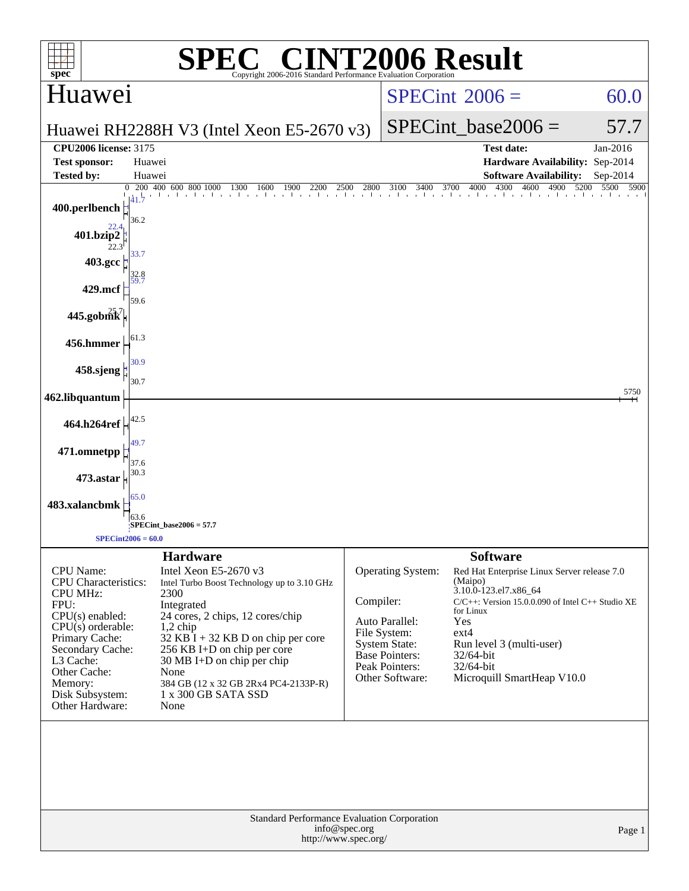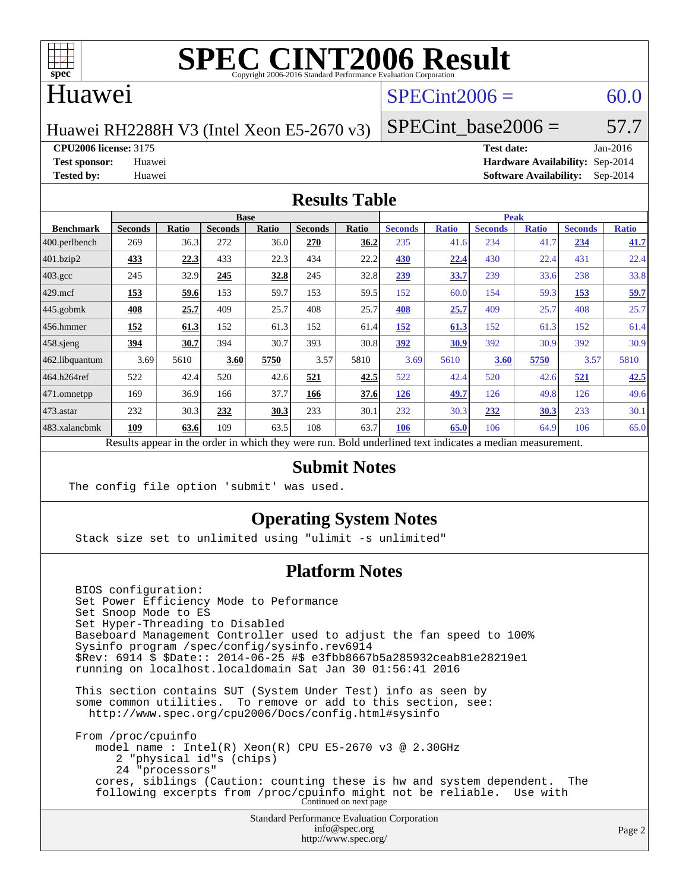

### Huawei

### $SPECint2006 = 60.0$  $SPECint2006 = 60.0$

Huawei RH2288H V3 (Intel Xeon E5-2670 v3)

SPECint base2006 =  $57.7$ 

**[CPU2006 license:](http://www.spec.org/auto/cpu2006/Docs/result-fields.html#CPU2006license)** 3175 **[Test date:](http://www.spec.org/auto/cpu2006/Docs/result-fields.html#Testdate)** Jan-2016

**[Test sponsor:](http://www.spec.org/auto/cpu2006/Docs/result-fields.html#Testsponsor)** Huawei **[Hardware Availability:](http://www.spec.org/auto/cpu2006/Docs/result-fields.html#HardwareAvailability)** Sep-2014 **[Tested by:](http://www.spec.org/auto/cpu2006/Docs/result-fields.html#Testedby)** Huawei **[Software Availability:](http://www.spec.org/auto/cpu2006/Docs/result-fields.html#SoftwareAvailability)** Sep-2014

#### **[Results Table](http://www.spec.org/auto/cpu2006/Docs/result-fields.html#ResultsTable)**

|                                                                                                          | <b>Base</b>    |       |                |       |                | <b>Peak</b> |                |              |                |              |                |              |
|----------------------------------------------------------------------------------------------------------|----------------|-------|----------------|-------|----------------|-------------|----------------|--------------|----------------|--------------|----------------|--------------|
| <b>Benchmark</b>                                                                                         | <b>Seconds</b> | Ratio | <b>Seconds</b> | Ratio | <b>Seconds</b> | Ratio       | <b>Seconds</b> | <b>Ratio</b> | <b>Seconds</b> | <b>Ratio</b> | <b>Seconds</b> | <b>Ratio</b> |
| $ 400$ .perlbench                                                                                        | 269            | 36.3  | 272            | 36.0  | 270            | 36.2        | 235            | 41.6         | 234            | 41.7         | 234            | 41.7         |
| 401.bzip2                                                                                                | 433            | 22.3  | 433            | 22.3  | 434            | 22.2        | 430            | 22.4         | 430            | 22.4         | 431            | 22.4         |
| $403.\mathrm{gcc}$                                                                                       | 245            | 32.9  | 245            | 32.8  | 245            | 32.8        | 239            | 33.7         | 239            | 33.6         | 238            | 33.8         |
| $429$ .mcf                                                                                               | 153            | 59.6  | 153            | 59.7  | 153            | 59.5        | 152            | 60.0         | 154            | 59.3         | 153            | 59.7         |
| $445$ .gobmk                                                                                             | 408            | 25.7  | 409            | 25.7  | 408            | 25.7        | 408            | 25.7         | 409            | 25.7         | 408            | 25.7         |
| $456.$ hmmer                                                                                             | 152            | 61.3  | 152            | 61.3  | 152            | 61.4        | 152            | 61.3         | 152            | 61.3         | 152            | 61.4         |
| $458$ .sjeng                                                                                             | 394            | 30.7  | 394            | 30.7  | 393            | 30.8        | 392            | 30.9         | 392            | 30.9         | 392            | 30.9         |
| 462.libquantum                                                                                           | 3.69           | 5610  | 3.60           | 5750  | 3.57           | 5810        | 3.69           | 5610         | 3.60           | 5750         | 3.57           | 5810         |
| 464.h264ref                                                                                              | 522            | 42.4  | 520            | 42.6  | 521            | 42.5        | 522            | 42.4         | 520            | 42.6         | 521            | 42.5         |
| 471.omnetpp                                                                                              | 169            | 36.9  | 166            | 37.7  | 166            | 37.6        | 126            | 49.7         | 126            | 49.8         | 126            | 49.6         |
| $473$ . astar                                                                                            | 232            | 30.3  | 232            | 30.3  | 233            | 30.1        | 232            | 30.3         | 232            | 30.3         | 233            | 30.1         |
| 483.xalancbmk                                                                                            | 109            | 63.6  | 109            | 63.5  | 108            | 63.7        | 106            | 65.0         | 106            | 64.9         | 106            | 65.0         |
| Results appear in the order in which they were run. Bold underlined text indicates a median measurement. |                |       |                |       |                |             |                |              |                |              |                |              |

### **[Submit Notes](http://www.spec.org/auto/cpu2006/Docs/result-fields.html#SubmitNotes)**

The config file option 'submit' was used.

### **[Operating System Notes](http://www.spec.org/auto/cpu2006/Docs/result-fields.html#OperatingSystemNotes)**

Stack size set to unlimited using "ulimit -s unlimited"

### **[Platform Notes](http://www.spec.org/auto/cpu2006/Docs/result-fields.html#PlatformNotes)**

Standard Performance Evaluation Corporation BIOS configuration: Set Power Efficiency Mode to Peformance Set Snoop Mode to ES Set Hyper-Threading to Disabled Baseboard Management Controller used to adjust the fan speed to 100% Sysinfo program /spec/config/sysinfo.rev6914 \$Rev: 6914 \$ \$Date:: 2014-06-25 #\$ e3fbb8667b5a285932ceab81e28219e1 running on localhost.localdomain Sat Jan 30 01:56:41 2016 This section contains SUT (System Under Test) info as seen by some common utilities. To remove or add to this section, see: <http://www.spec.org/cpu2006/Docs/config.html#sysinfo> From /proc/cpuinfo model name : Intel(R) Xeon(R) CPU E5-2670 v3 @ 2.30GHz 2 "physical id"s (chips) 24 "processors" cores, siblings (Caution: counting these is hw and system dependent. The following excerpts from /proc/cpuinfo might not be reliable. Use with Continued on next page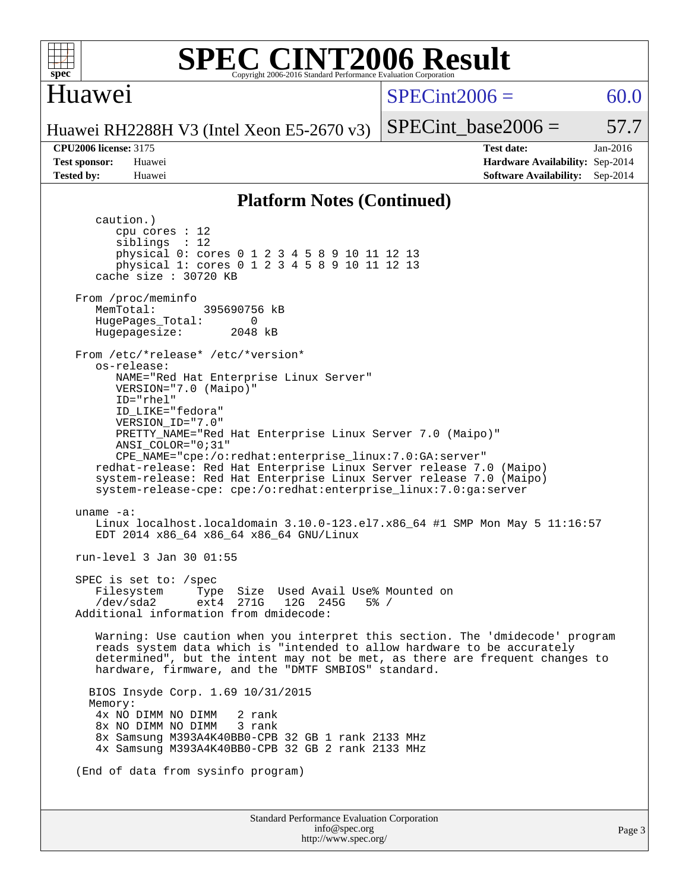

### **[SPEC CINT2006 Result](http://www.spec.org/auto/cpu2006/Docs/result-fields.html#SPECCINT2006Result)** Copyright 2006-2016 Standard Performance Evaluation Corpor

### Huawei

 $SPECint2006 = 60.0$  $SPECint2006 = 60.0$ 

Huawei RH2288H V3 (Intel Xeon E5-2670 v3)

**[CPU2006 license:](http://www.spec.org/auto/cpu2006/Docs/result-fields.html#CPU2006license)** 3175 **[Test date:](http://www.spec.org/auto/cpu2006/Docs/result-fields.html#Testdate)** Jan-2016 **[Test sponsor:](http://www.spec.org/auto/cpu2006/Docs/result-fields.html#Testsponsor)** Huawei **[Hardware Availability:](http://www.spec.org/auto/cpu2006/Docs/result-fields.html#HardwareAvailability)** Sep-2014 **[Tested by:](http://www.spec.org/auto/cpu2006/Docs/result-fields.html#Testedby)** Huawei **[Software Availability:](http://www.spec.org/auto/cpu2006/Docs/result-fields.html#SoftwareAvailability)** Sep-2014

SPECint base2006 =  $57.7$ 

### **[Platform Notes \(Continued\)](http://www.spec.org/auto/cpu2006/Docs/result-fields.html#PlatformNotes)**

Standard Performance Evaluation Corporation [info@spec.org](mailto:info@spec.org) caution.) cpu cores : 12 siblings : 12 physical 0: cores 0 1 2 3 4 5 8 9 10 11 12 13 physical 1: cores 0 1 2 3 4 5 8 9 10 11 12 13 cache size : 30720 KB From /proc/meminfo MemTotal: 395690756 kB HugePages\_Total: 0<br>Hugepagesize: 2048 kB Hugepagesize: From /etc/\*release\* /etc/\*version\* os-release: NAME="Red Hat Enterprise Linux Server" VERSION="7.0 (Maipo)" ID="rhel" ID\_LIKE="fedora" VERSION\_ID="7.0" PRETTY\_NAME="Red Hat Enterprise Linux Server 7.0 (Maipo)" ANSI\_COLOR="0;31" CPE\_NAME="cpe:/o:redhat:enterprise\_linux:7.0:GA:server" redhat-release: Red Hat Enterprise Linux Server release 7.0 (Maipo) system-release: Red Hat Enterprise Linux Server release 7.0 (Maipo) system-release-cpe: cpe:/o:redhat:enterprise\_linux:7.0:ga:server uname -a: Linux localhost.localdomain 3.10.0-123.el7.x86\_64 #1 SMP Mon May 5 11:16:57 EDT 2014 x86\_64 x86\_64 x86\_64 GNU/Linux run-level 3 Jan 30 01:55 SPEC is set to: /spec Filesystem Type Size Used Avail Use% Mounted on<br>
/dev/sda2 ext4 271G 12G 245G 5% / /dev/sda2 ext4 271G 12G 245G 5% / Additional information from dmidecode: Warning: Use caution when you interpret this section. The 'dmidecode' program reads system data which is "intended to allow hardware to be accurately determined", but the intent may not be met, as there are frequent changes to hardware, firmware, and the "DMTF SMBIOS" standard. BIOS Insyde Corp. 1.69 10/31/2015 Memory: 4x NO DIMM NO DIMM 2 rank 8x NO DIMM NO DIMM 3 rank 8x Samsung M393A4K40BB0-CPB 32 GB 1 rank 2133 MHz 4x Samsung M393A4K40BB0-CPB 32 GB 2 rank 2133 MHz (End of data from sysinfo program)

<http://www.spec.org/>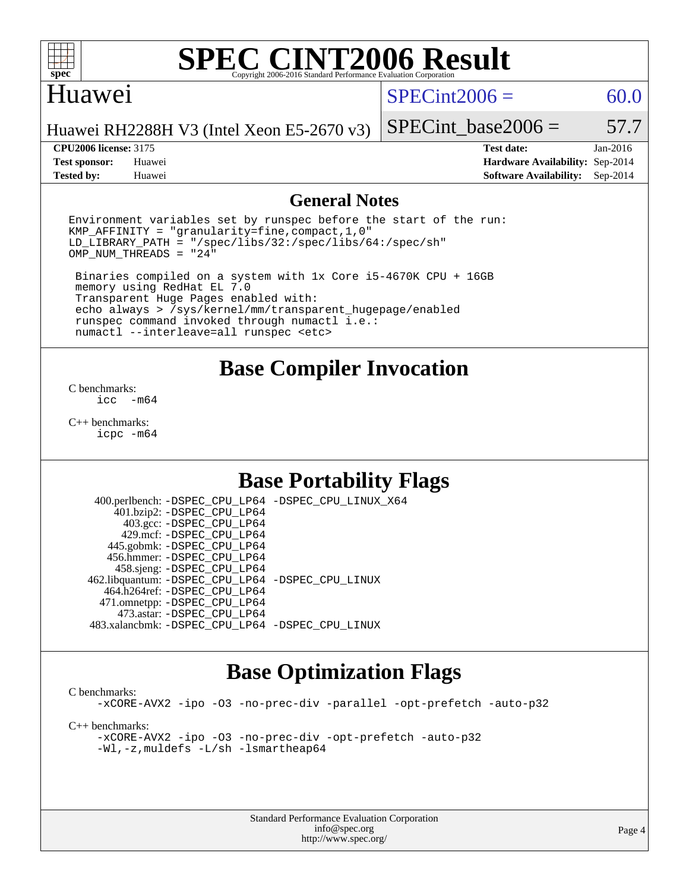

### Huawei

 $SPECint2006 = 60.0$  $SPECint2006 = 60.0$ 

Huawei RH2288H V3 (Intel Xeon E5-2670 v3)

#### **[CPU2006 license:](http://www.spec.org/auto/cpu2006/Docs/result-fields.html#CPU2006license)** 3175 **[Test date:](http://www.spec.org/auto/cpu2006/Docs/result-fields.html#Testdate)** Jan-2016

**[Tested by:](http://www.spec.org/auto/cpu2006/Docs/result-fields.html#Testedby)** Huawei **[Software Availability:](http://www.spec.org/auto/cpu2006/Docs/result-fields.html#SoftwareAvailability)** Sep-2014

SPECint base2006 =  $57.7$ 

**[Test sponsor:](http://www.spec.org/auto/cpu2006/Docs/result-fields.html#Testsponsor)** Huawei **[Hardware Availability:](http://www.spec.org/auto/cpu2006/Docs/result-fields.html#HardwareAvailability)** Sep-2014

### **[General Notes](http://www.spec.org/auto/cpu2006/Docs/result-fields.html#GeneralNotes)**

Environment variables set by runspec before the start of the run: KMP\_AFFINITY = "granularity=fine,compact,1,0" LD\_LIBRARY\_PATH = "/spec/libs/32:/spec/libs/64:/spec/sh"  $OMP_NUM_THREADS = "24"$ 

 Binaries compiled on a system with 1x Core i5-4670K CPU + 16GB memory using RedHat EL 7.0 Transparent Huge Pages enabled with: echo always > /sys/kernel/mm/transparent\_hugepage/enabled runspec command invoked through numactl i.e.: numactl --interleave=all runspec <etc>

### **[Base Compiler Invocation](http://www.spec.org/auto/cpu2006/Docs/result-fields.html#BaseCompilerInvocation)**

[C benchmarks](http://www.spec.org/auto/cpu2006/Docs/result-fields.html#Cbenchmarks):  $inc - m64$ 

[C++ benchmarks:](http://www.spec.org/auto/cpu2006/Docs/result-fields.html#CXXbenchmarks) [icpc -m64](http://www.spec.org/cpu2006/results/res2016q1/cpu2006-20160131-38952.flags.html#user_CXXbase_intel_icpc_64bit_fc66a5337ce925472a5c54ad6a0de310)

## **[Base Portability Flags](http://www.spec.org/auto/cpu2006/Docs/result-fields.html#BasePortabilityFlags)**

 400.perlbench: [-DSPEC\\_CPU\\_LP64](http://www.spec.org/cpu2006/results/res2016q1/cpu2006-20160131-38952.flags.html#b400.perlbench_basePORTABILITY_DSPEC_CPU_LP64) [-DSPEC\\_CPU\\_LINUX\\_X64](http://www.spec.org/cpu2006/results/res2016q1/cpu2006-20160131-38952.flags.html#b400.perlbench_baseCPORTABILITY_DSPEC_CPU_LINUX_X64) 401.bzip2: [-DSPEC\\_CPU\\_LP64](http://www.spec.org/cpu2006/results/res2016q1/cpu2006-20160131-38952.flags.html#suite_basePORTABILITY401_bzip2_DSPEC_CPU_LP64) 403.gcc: [-DSPEC\\_CPU\\_LP64](http://www.spec.org/cpu2006/results/res2016q1/cpu2006-20160131-38952.flags.html#suite_basePORTABILITY403_gcc_DSPEC_CPU_LP64) 429.mcf: [-DSPEC\\_CPU\\_LP64](http://www.spec.org/cpu2006/results/res2016q1/cpu2006-20160131-38952.flags.html#suite_basePORTABILITY429_mcf_DSPEC_CPU_LP64) 445.gobmk: [-DSPEC\\_CPU\\_LP64](http://www.spec.org/cpu2006/results/res2016q1/cpu2006-20160131-38952.flags.html#suite_basePORTABILITY445_gobmk_DSPEC_CPU_LP64) 456.hmmer: [-DSPEC\\_CPU\\_LP64](http://www.spec.org/cpu2006/results/res2016q1/cpu2006-20160131-38952.flags.html#suite_basePORTABILITY456_hmmer_DSPEC_CPU_LP64) 458.sjeng: [-DSPEC\\_CPU\\_LP64](http://www.spec.org/cpu2006/results/res2016q1/cpu2006-20160131-38952.flags.html#suite_basePORTABILITY458_sjeng_DSPEC_CPU_LP64) 462.libquantum: [-DSPEC\\_CPU\\_LP64](http://www.spec.org/cpu2006/results/res2016q1/cpu2006-20160131-38952.flags.html#suite_basePORTABILITY462_libquantum_DSPEC_CPU_LP64) [-DSPEC\\_CPU\\_LINUX](http://www.spec.org/cpu2006/results/res2016q1/cpu2006-20160131-38952.flags.html#b462.libquantum_baseCPORTABILITY_DSPEC_CPU_LINUX) 464.h264ref: [-DSPEC\\_CPU\\_LP64](http://www.spec.org/cpu2006/results/res2016q1/cpu2006-20160131-38952.flags.html#suite_basePORTABILITY464_h264ref_DSPEC_CPU_LP64) 471.omnetpp: [-DSPEC\\_CPU\\_LP64](http://www.spec.org/cpu2006/results/res2016q1/cpu2006-20160131-38952.flags.html#suite_basePORTABILITY471_omnetpp_DSPEC_CPU_LP64) 473.astar: [-DSPEC\\_CPU\\_LP64](http://www.spec.org/cpu2006/results/res2016q1/cpu2006-20160131-38952.flags.html#suite_basePORTABILITY473_astar_DSPEC_CPU_LP64) 483.xalancbmk: [-DSPEC\\_CPU\\_LP64](http://www.spec.org/cpu2006/results/res2016q1/cpu2006-20160131-38952.flags.html#suite_basePORTABILITY483_xalancbmk_DSPEC_CPU_LP64) [-DSPEC\\_CPU\\_LINUX](http://www.spec.org/cpu2006/results/res2016q1/cpu2006-20160131-38952.flags.html#b483.xalancbmk_baseCXXPORTABILITY_DSPEC_CPU_LINUX)

### **[Base Optimization Flags](http://www.spec.org/auto/cpu2006/Docs/result-fields.html#BaseOptimizationFlags)**

[C benchmarks](http://www.spec.org/auto/cpu2006/Docs/result-fields.html#Cbenchmarks): [-xCORE-AVX2](http://www.spec.org/cpu2006/results/res2016q1/cpu2006-20160131-38952.flags.html#user_CCbase_f-xAVX2_5f5fc0cbe2c9f62c816d3e45806c70d7) [-ipo](http://www.spec.org/cpu2006/results/res2016q1/cpu2006-20160131-38952.flags.html#user_CCbase_f-ipo) [-O3](http://www.spec.org/cpu2006/results/res2016q1/cpu2006-20160131-38952.flags.html#user_CCbase_f-O3) [-no-prec-div](http://www.spec.org/cpu2006/results/res2016q1/cpu2006-20160131-38952.flags.html#user_CCbase_f-no-prec-div) [-parallel](http://www.spec.org/cpu2006/results/res2016q1/cpu2006-20160131-38952.flags.html#user_CCbase_f-parallel) [-opt-prefetch](http://www.spec.org/cpu2006/results/res2016q1/cpu2006-20160131-38952.flags.html#user_CCbase_f-opt-prefetch) [-auto-p32](http://www.spec.org/cpu2006/results/res2016q1/cpu2006-20160131-38952.flags.html#user_CCbase_f-auto-p32) [C++ benchmarks:](http://www.spec.org/auto/cpu2006/Docs/result-fields.html#CXXbenchmarks) [-xCORE-AVX2](http://www.spec.org/cpu2006/results/res2016q1/cpu2006-20160131-38952.flags.html#user_CXXbase_f-xAVX2_5f5fc0cbe2c9f62c816d3e45806c70d7) [-ipo](http://www.spec.org/cpu2006/results/res2016q1/cpu2006-20160131-38952.flags.html#user_CXXbase_f-ipo) [-O3](http://www.spec.org/cpu2006/results/res2016q1/cpu2006-20160131-38952.flags.html#user_CXXbase_f-O3) [-no-prec-div](http://www.spec.org/cpu2006/results/res2016q1/cpu2006-20160131-38952.flags.html#user_CXXbase_f-no-prec-div) [-opt-prefetch](http://www.spec.org/cpu2006/results/res2016q1/cpu2006-20160131-38952.flags.html#user_CXXbase_f-opt-prefetch) [-auto-p32](http://www.spec.org/cpu2006/results/res2016q1/cpu2006-20160131-38952.flags.html#user_CXXbase_f-auto-p32) [-Wl,-z,muldefs](http://www.spec.org/cpu2006/results/res2016q1/cpu2006-20160131-38952.flags.html#user_CXXbase_link_force_multiple1_74079c344b956b9658436fd1b6dd3a8a) [-L/sh -lsmartheap64](http://www.spec.org/cpu2006/results/res2016q1/cpu2006-20160131-38952.flags.html#user_CXXbase_SmartHeap64_ed4ef857ce90951921efb0d91eb88472)

> Standard Performance Evaluation Corporation [info@spec.org](mailto:info@spec.org) <http://www.spec.org/>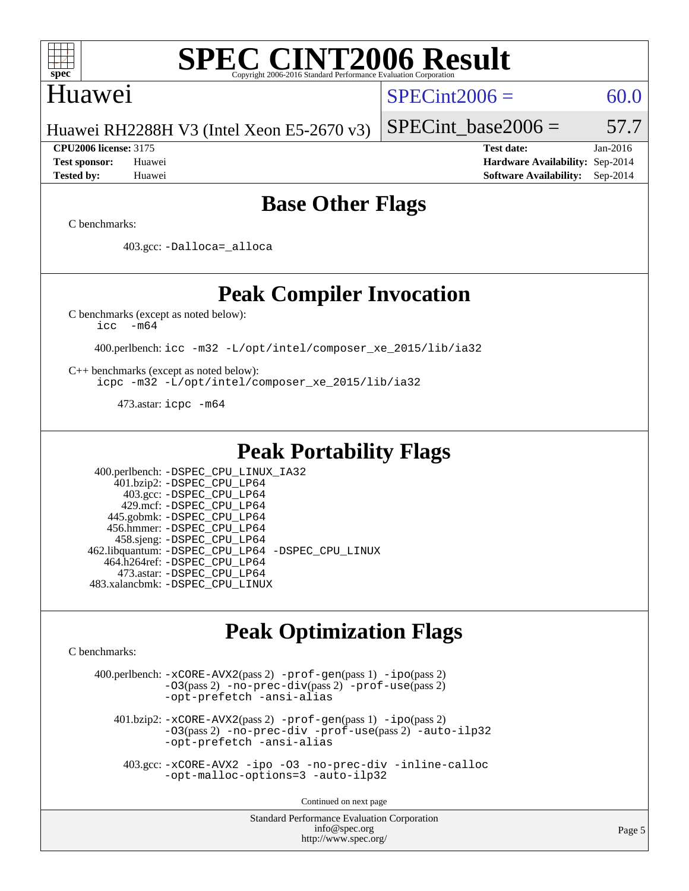

### Huawei

 $SPECint2006 = 60.0$  $SPECint2006 = 60.0$ 

Huawei RH2288H V3 (Intel Xeon E5-2670 v3)

**[CPU2006 license:](http://www.spec.org/auto/cpu2006/Docs/result-fields.html#CPU2006license)** 3175 **[Test date:](http://www.spec.org/auto/cpu2006/Docs/result-fields.html#Testdate)** Jan-2016 **[Test sponsor:](http://www.spec.org/auto/cpu2006/Docs/result-fields.html#Testsponsor)** Huawei **[Hardware Availability:](http://www.spec.org/auto/cpu2006/Docs/result-fields.html#HardwareAvailability)** Sep-2014 **[Tested by:](http://www.spec.org/auto/cpu2006/Docs/result-fields.html#Testedby)** Huawei **[Software Availability:](http://www.spec.org/auto/cpu2006/Docs/result-fields.html#SoftwareAvailability)** Sep-2014

SPECint base2006 =  $57.7$ 

## **[Base Other Flags](http://www.spec.org/auto/cpu2006/Docs/result-fields.html#BaseOtherFlags)**

[C benchmarks](http://www.spec.org/auto/cpu2006/Docs/result-fields.html#Cbenchmarks):

403.gcc: [-Dalloca=\\_alloca](http://www.spec.org/cpu2006/results/res2016q1/cpu2006-20160131-38952.flags.html#b403.gcc_baseEXTRA_CFLAGS_Dalloca_be3056838c12de2578596ca5467af7f3)

### **[Peak Compiler Invocation](http://www.spec.org/auto/cpu2006/Docs/result-fields.html#PeakCompilerInvocation)**

[C benchmarks \(except as noted below\)](http://www.spec.org/auto/cpu2006/Docs/result-fields.html#Cbenchmarksexceptasnotedbelow):

[icc -m64](http://www.spec.org/cpu2006/results/res2016q1/cpu2006-20160131-38952.flags.html#user_CCpeak_intel_icc_64bit_f346026e86af2a669e726fe758c88044)

400.perlbench: [icc -m32 -L/opt/intel/composer\\_xe\\_2015/lib/ia32](http://www.spec.org/cpu2006/results/res2016q1/cpu2006-20160131-38952.flags.html#user_peakCCLD400_perlbench_intel_icc_011b86df29f8c679b747245588698a4d)

[C++ benchmarks \(except as noted below\):](http://www.spec.org/auto/cpu2006/Docs/result-fields.html#CXXbenchmarksexceptasnotedbelow) [icpc -m32 -L/opt/intel/composer\\_xe\\_2015/lib/ia32](http://www.spec.org/cpu2006/results/res2016q1/cpu2006-20160131-38952.flags.html#user_CXXpeak_intel_icpc_c2c99686a1a582c3e0de0b4806b02cea)

473.astar: [icpc -m64](http://www.spec.org/cpu2006/results/res2016q1/cpu2006-20160131-38952.flags.html#user_peakCXXLD473_astar_intel_icpc_64bit_fc66a5337ce925472a5c54ad6a0de310)

### **[Peak Portability Flags](http://www.spec.org/auto/cpu2006/Docs/result-fields.html#PeakPortabilityFlags)**

 400.perlbench: [-DSPEC\\_CPU\\_LINUX\\_IA32](http://www.spec.org/cpu2006/results/res2016q1/cpu2006-20160131-38952.flags.html#b400.perlbench_peakCPORTABILITY_DSPEC_CPU_LINUX_IA32) 401.bzip2: [-DSPEC\\_CPU\\_LP64](http://www.spec.org/cpu2006/results/res2016q1/cpu2006-20160131-38952.flags.html#suite_peakPORTABILITY401_bzip2_DSPEC_CPU_LP64) 403.gcc: [-DSPEC\\_CPU\\_LP64](http://www.spec.org/cpu2006/results/res2016q1/cpu2006-20160131-38952.flags.html#suite_peakPORTABILITY403_gcc_DSPEC_CPU_LP64) 429.mcf: [-DSPEC\\_CPU\\_LP64](http://www.spec.org/cpu2006/results/res2016q1/cpu2006-20160131-38952.flags.html#suite_peakPORTABILITY429_mcf_DSPEC_CPU_LP64) 445.gobmk: [-DSPEC\\_CPU\\_LP64](http://www.spec.org/cpu2006/results/res2016q1/cpu2006-20160131-38952.flags.html#suite_peakPORTABILITY445_gobmk_DSPEC_CPU_LP64) 456.hmmer: [-DSPEC\\_CPU\\_LP64](http://www.spec.org/cpu2006/results/res2016q1/cpu2006-20160131-38952.flags.html#suite_peakPORTABILITY456_hmmer_DSPEC_CPU_LP64) 458.sjeng: [-DSPEC\\_CPU\\_LP64](http://www.spec.org/cpu2006/results/res2016q1/cpu2006-20160131-38952.flags.html#suite_peakPORTABILITY458_sjeng_DSPEC_CPU_LP64) 462.libquantum: [-DSPEC\\_CPU\\_LP64](http://www.spec.org/cpu2006/results/res2016q1/cpu2006-20160131-38952.flags.html#suite_peakPORTABILITY462_libquantum_DSPEC_CPU_LP64) [-DSPEC\\_CPU\\_LINUX](http://www.spec.org/cpu2006/results/res2016q1/cpu2006-20160131-38952.flags.html#b462.libquantum_peakCPORTABILITY_DSPEC_CPU_LINUX) 464.h264ref: [-DSPEC\\_CPU\\_LP64](http://www.spec.org/cpu2006/results/res2016q1/cpu2006-20160131-38952.flags.html#suite_peakPORTABILITY464_h264ref_DSPEC_CPU_LP64) 473.astar: [-DSPEC\\_CPU\\_LP64](http://www.spec.org/cpu2006/results/res2016q1/cpu2006-20160131-38952.flags.html#suite_peakPORTABILITY473_astar_DSPEC_CPU_LP64) 483.xalancbmk: [-DSPEC\\_CPU\\_LINUX](http://www.spec.org/cpu2006/results/res2016q1/cpu2006-20160131-38952.flags.html#b483.xalancbmk_peakCXXPORTABILITY_DSPEC_CPU_LINUX)

# **[Peak Optimization Flags](http://www.spec.org/auto/cpu2006/Docs/result-fields.html#PeakOptimizationFlags)**

[C benchmarks](http://www.spec.org/auto/cpu2006/Docs/result-fields.html#Cbenchmarks):

 400.perlbench: [-xCORE-AVX2](http://www.spec.org/cpu2006/results/res2016q1/cpu2006-20160131-38952.flags.html#user_peakPASS2_CFLAGSPASS2_LDCFLAGS400_perlbench_f-xAVX2_5f5fc0cbe2c9f62c816d3e45806c70d7)(pass 2) [-prof-gen](http://www.spec.org/cpu2006/results/res2016q1/cpu2006-20160131-38952.flags.html#user_peakPASS1_CFLAGSPASS1_LDCFLAGS400_perlbench_prof_gen_e43856698f6ca7b7e442dfd80e94a8fc)(pass 1) [-ipo](http://www.spec.org/cpu2006/results/res2016q1/cpu2006-20160131-38952.flags.html#user_peakPASS2_CFLAGSPASS2_LDCFLAGS400_perlbench_f-ipo)(pass 2) [-O3](http://www.spec.org/cpu2006/results/res2016q1/cpu2006-20160131-38952.flags.html#user_peakPASS2_CFLAGSPASS2_LDCFLAGS400_perlbench_f-O3)(pass 2) [-no-prec-div](http://www.spec.org/cpu2006/results/res2016q1/cpu2006-20160131-38952.flags.html#user_peakPASS2_CFLAGSPASS2_LDCFLAGS400_perlbench_f-no-prec-div)(pass 2) [-prof-use](http://www.spec.org/cpu2006/results/res2016q1/cpu2006-20160131-38952.flags.html#user_peakPASS2_CFLAGSPASS2_LDCFLAGS400_perlbench_prof_use_bccf7792157ff70d64e32fe3e1250b55)(pass 2) [-opt-prefetch](http://www.spec.org/cpu2006/results/res2016q1/cpu2006-20160131-38952.flags.html#user_peakCOPTIMIZE400_perlbench_f-opt-prefetch) [-ansi-alias](http://www.spec.org/cpu2006/results/res2016q1/cpu2006-20160131-38952.flags.html#user_peakCOPTIMIZE400_perlbench_f-ansi-alias) 401.bzip2: [-xCORE-AVX2](http://www.spec.org/cpu2006/results/res2016q1/cpu2006-20160131-38952.flags.html#user_peakPASS2_CFLAGSPASS2_LDCFLAGS401_bzip2_f-xAVX2_5f5fc0cbe2c9f62c816d3e45806c70d7)(pass 2) [-prof-gen](http://www.spec.org/cpu2006/results/res2016q1/cpu2006-20160131-38952.flags.html#user_peakPASS1_CFLAGSPASS1_LDCFLAGS401_bzip2_prof_gen_e43856698f6ca7b7e442dfd80e94a8fc)(pass 1) [-ipo](http://www.spec.org/cpu2006/results/res2016q1/cpu2006-20160131-38952.flags.html#user_peakPASS2_CFLAGSPASS2_LDCFLAGS401_bzip2_f-ipo)(pass 2) [-O3](http://www.spec.org/cpu2006/results/res2016q1/cpu2006-20160131-38952.flags.html#user_peakPASS2_CFLAGSPASS2_LDCFLAGS401_bzip2_f-O3)(pass 2) [-no-prec-div](http://www.spec.org/cpu2006/results/res2016q1/cpu2006-20160131-38952.flags.html#user_peakCOPTIMIZEPASS2_CFLAGSPASS2_LDCFLAGS401_bzip2_f-no-prec-div) [-prof-use](http://www.spec.org/cpu2006/results/res2016q1/cpu2006-20160131-38952.flags.html#user_peakPASS2_CFLAGSPASS2_LDCFLAGS401_bzip2_prof_use_bccf7792157ff70d64e32fe3e1250b55)(pass 2) [-auto-ilp32](http://www.spec.org/cpu2006/results/res2016q1/cpu2006-20160131-38952.flags.html#user_peakCOPTIMIZE401_bzip2_f-auto-ilp32) [-opt-prefetch](http://www.spec.org/cpu2006/results/res2016q1/cpu2006-20160131-38952.flags.html#user_peakCOPTIMIZE401_bzip2_f-opt-prefetch) [-ansi-alias](http://www.spec.org/cpu2006/results/res2016q1/cpu2006-20160131-38952.flags.html#user_peakCOPTIMIZE401_bzip2_f-ansi-alias) 403.gcc: [-xCORE-AVX2](http://www.spec.org/cpu2006/results/res2016q1/cpu2006-20160131-38952.flags.html#user_peakCOPTIMIZE403_gcc_f-xAVX2_5f5fc0cbe2c9f62c816d3e45806c70d7) [-ipo](http://www.spec.org/cpu2006/results/res2016q1/cpu2006-20160131-38952.flags.html#user_peakCOPTIMIZE403_gcc_f-ipo) [-O3](http://www.spec.org/cpu2006/results/res2016q1/cpu2006-20160131-38952.flags.html#user_peakCOPTIMIZE403_gcc_f-O3) [-no-prec-div](http://www.spec.org/cpu2006/results/res2016q1/cpu2006-20160131-38952.flags.html#user_peakCOPTIMIZE403_gcc_f-no-prec-div) [-inline-calloc](http://www.spec.org/cpu2006/results/res2016q1/cpu2006-20160131-38952.flags.html#user_peakCOPTIMIZE403_gcc_f-inline-calloc) [-opt-malloc-options=3](http://www.spec.org/cpu2006/results/res2016q1/cpu2006-20160131-38952.flags.html#user_peakCOPTIMIZE403_gcc_f-opt-malloc-options_13ab9b803cf986b4ee62f0a5998c2238) [-auto-ilp32](http://www.spec.org/cpu2006/results/res2016q1/cpu2006-20160131-38952.flags.html#user_peakCOPTIMIZE403_gcc_f-auto-ilp32)

Continued on next page

Standard Performance Evaluation Corporation [info@spec.org](mailto:info@spec.org) <http://www.spec.org/>

Page 5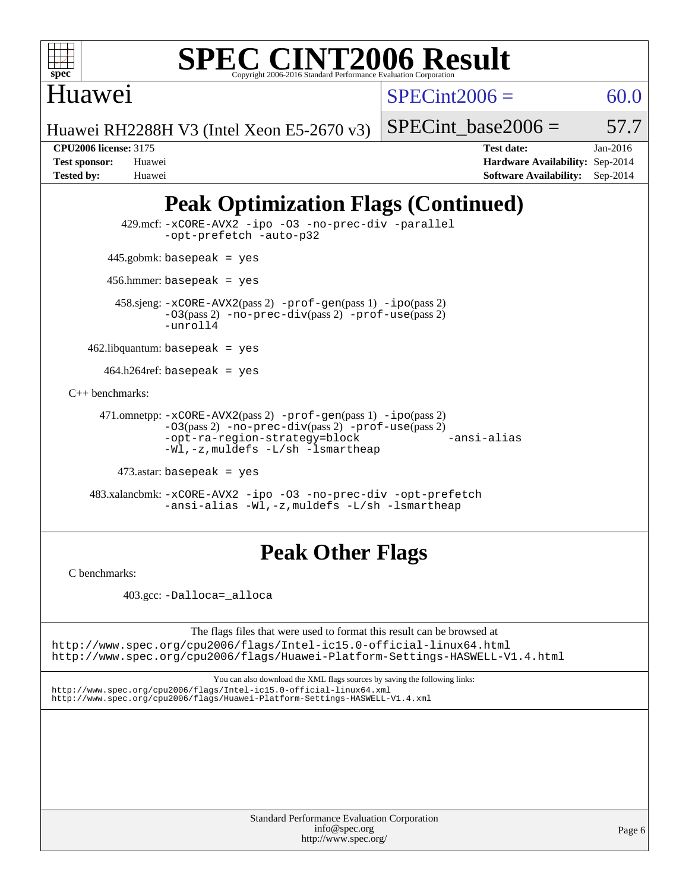

Huawei

 $SPECint2006 = 60.0$  $SPECint2006 = 60.0$ 

Huawei RH2288H V3 (Intel Xeon E5-2670 v3)

SPECint base2006 =  $57.7$ 

**[CPU2006 license:](http://www.spec.org/auto/cpu2006/Docs/result-fields.html#CPU2006license)** 3175 **[Test date:](http://www.spec.org/auto/cpu2006/Docs/result-fields.html#Testdate)** Jan-2016 **[Test sponsor:](http://www.spec.org/auto/cpu2006/Docs/result-fields.html#Testsponsor)** Huawei **[Hardware Availability:](http://www.spec.org/auto/cpu2006/Docs/result-fields.html#HardwareAvailability)** Sep-2014 **[Tested by:](http://www.spec.org/auto/cpu2006/Docs/result-fields.html#Testedby)** Huawei **[Software Availability:](http://www.spec.org/auto/cpu2006/Docs/result-fields.html#SoftwareAvailability)** Sep-2014

# **[Peak Optimization Flags \(Continued\)](http://www.spec.org/auto/cpu2006/Docs/result-fields.html#PeakOptimizationFlags)**

 429.mcf: [-xCORE-AVX2](http://www.spec.org/cpu2006/results/res2016q1/cpu2006-20160131-38952.flags.html#user_peakCOPTIMIZE429_mcf_f-xAVX2_5f5fc0cbe2c9f62c816d3e45806c70d7) [-ipo](http://www.spec.org/cpu2006/results/res2016q1/cpu2006-20160131-38952.flags.html#user_peakCOPTIMIZE429_mcf_f-ipo) [-O3](http://www.spec.org/cpu2006/results/res2016q1/cpu2006-20160131-38952.flags.html#user_peakCOPTIMIZE429_mcf_f-O3) [-no-prec-div](http://www.spec.org/cpu2006/results/res2016q1/cpu2006-20160131-38952.flags.html#user_peakCOPTIMIZE429_mcf_f-no-prec-div) [-parallel](http://www.spec.org/cpu2006/results/res2016q1/cpu2006-20160131-38952.flags.html#user_peakCOPTIMIZE429_mcf_f-parallel) [-opt-prefetch](http://www.spec.org/cpu2006/results/res2016q1/cpu2006-20160131-38952.flags.html#user_peakCOPTIMIZE429_mcf_f-opt-prefetch) [-auto-p32](http://www.spec.org/cpu2006/results/res2016q1/cpu2006-20160131-38952.flags.html#user_peakCOPTIMIZE429_mcf_f-auto-p32) 445.gobmk: basepeak = yes 456.hmmer: basepeak = yes 458.sjeng: [-xCORE-AVX2](http://www.spec.org/cpu2006/results/res2016q1/cpu2006-20160131-38952.flags.html#user_peakPASS2_CFLAGSPASS2_LDCFLAGS458_sjeng_f-xAVX2_5f5fc0cbe2c9f62c816d3e45806c70d7)(pass 2) [-prof-gen](http://www.spec.org/cpu2006/results/res2016q1/cpu2006-20160131-38952.flags.html#user_peakPASS1_CFLAGSPASS1_LDCFLAGS458_sjeng_prof_gen_e43856698f6ca7b7e442dfd80e94a8fc)(pass 1) [-ipo](http://www.spec.org/cpu2006/results/res2016q1/cpu2006-20160131-38952.flags.html#user_peakPASS2_CFLAGSPASS2_LDCFLAGS458_sjeng_f-ipo)(pass 2) [-O3](http://www.spec.org/cpu2006/results/res2016q1/cpu2006-20160131-38952.flags.html#user_peakPASS2_CFLAGSPASS2_LDCFLAGS458_sjeng_f-O3)(pass 2) [-no-prec-div](http://www.spec.org/cpu2006/results/res2016q1/cpu2006-20160131-38952.flags.html#user_peakPASS2_CFLAGSPASS2_LDCFLAGS458_sjeng_f-no-prec-div)(pass 2) [-prof-use](http://www.spec.org/cpu2006/results/res2016q1/cpu2006-20160131-38952.flags.html#user_peakPASS2_CFLAGSPASS2_LDCFLAGS458_sjeng_prof_use_bccf7792157ff70d64e32fe3e1250b55)(pass 2)  $-$ unroll4  $462$ .libquantum: basepeak = yes 464.h264ref: basepeak = yes [C++ benchmarks:](http://www.spec.org/auto/cpu2006/Docs/result-fields.html#CXXbenchmarks) 471.omnetpp: [-xCORE-AVX2](http://www.spec.org/cpu2006/results/res2016q1/cpu2006-20160131-38952.flags.html#user_peakPASS2_CXXFLAGSPASS2_LDCXXFLAGS471_omnetpp_f-xAVX2_5f5fc0cbe2c9f62c816d3e45806c70d7)(pass 2) [-prof-gen](http://www.spec.org/cpu2006/results/res2016q1/cpu2006-20160131-38952.flags.html#user_peakPASS1_CXXFLAGSPASS1_LDCXXFLAGS471_omnetpp_prof_gen_e43856698f6ca7b7e442dfd80e94a8fc)(pass 1) [-ipo](http://www.spec.org/cpu2006/results/res2016q1/cpu2006-20160131-38952.flags.html#user_peakPASS2_CXXFLAGSPASS2_LDCXXFLAGS471_omnetpp_f-ipo)(pass 2) [-O3](http://www.spec.org/cpu2006/results/res2016q1/cpu2006-20160131-38952.flags.html#user_peakPASS2_CXXFLAGSPASS2_LDCXXFLAGS471_omnetpp_f-O3)(pass 2) [-no-prec-div](http://www.spec.org/cpu2006/results/res2016q1/cpu2006-20160131-38952.flags.html#user_peakPASS2_CXXFLAGSPASS2_LDCXXFLAGS471_omnetpp_f-no-prec-div)(pass 2) [-prof-use](http://www.spec.org/cpu2006/results/res2016q1/cpu2006-20160131-38952.flags.html#user_peakPASS2_CXXFLAGSPASS2_LDCXXFLAGS471_omnetpp_prof_use_bccf7792157ff70d64e32fe3e1250b55)(pass 2) [-opt-ra-region-strategy=block](http://www.spec.org/cpu2006/results/res2016q1/cpu2006-20160131-38952.flags.html#user_peakCXXOPTIMIZE471_omnetpp_f-opt-ra-region-strategy_5382940c29ea30302d682fc74bfe0147) [-ansi-alias](http://www.spec.org/cpu2006/results/res2016q1/cpu2006-20160131-38952.flags.html#user_peakCXXOPTIMIZE471_omnetpp_f-ansi-alias) [-Wl,-z,muldefs](http://www.spec.org/cpu2006/results/res2016q1/cpu2006-20160131-38952.flags.html#user_peakEXTRA_LDFLAGS471_omnetpp_link_force_multiple1_74079c344b956b9658436fd1b6dd3a8a) [-L/sh -lsmartheap](http://www.spec.org/cpu2006/results/res2016q1/cpu2006-20160131-38952.flags.html#user_peakEXTRA_LIBS471_omnetpp_SmartHeap_32f6c82aa1ed9c52345d30cf6e4a0499) 473.astar: basepeak = yes 483.xalancbmk: [-xCORE-AVX2](http://www.spec.org/cpu2006/results/res2016q1/cpu2006-20160131-38952.flags.html#user_peakCXXOPTIMIZE483_xalancbmk_f-xAVX2_5f5fc0cbe2c9f62c816d3e45806c70d7) [-ipo](http://www.spec.org/cpu2006/results/res2016q1/cpu2006-20160131-38952.flags.html#user_peakCXXOPTIMIZE483_xalancbmk_f-ipo) [-O3](http://www.spec.org/cpu2006/results/res2016q1/cpu2006-20160131-38952.flags.html#user_peakCXXOPTIMIZE483_xalancbmk_f-O3) [-no-prec-div](http://www.spec.org/cpu2006/results/res2016q1/cpu2006-20160131-38952.flags.html#user_peakCXXOPTIMIZE483_xalancbmk_f-no-prec-div) [-opt-prefetch](http://www.spec.org/cpu2006/results/res2016q1/cpu2006-20160131-38952.flags.html#user_peakCXXOPTIMIZE483_xalancbmk_f-opt-prefetch) [-ansi-alias](http://www.spec.org/cpu2006/results/res2016q1/cpu2006-20160131-38952.flags.html#user_peakCXXOPTIMIZE483_xalancbmk_f-ansi-alias) [-Wl,-z,muldefs](http://www.spec.org/cpu2006/results/res2016q1/cpu2006-20160131-38952.flags.html#user_peakEXTRA_LDFLAGS483_xalancbmk_link_force_multiple1_74079c344b956b9658436fd1b6dd3a8a) [-L/sh -lsmartheap](http://www.spec.org/cpu2006/results/res2016q1/cpu2006-20160131-38952.flags.html#user_peakEXTRA_LIBS483_xalancbmk_SmartHeap_32f6c82aa1ed9c52345d30cf6e4a0499)

# **[Peak Other Flags](http://www.spec.org/auto/cpu2006/Docs/result-fields.html#PeakOtherFlags)**

[C benchmarks](http://www.spec.org/auto/cpu2006/Docs/result-fields.html#Cbenchmarks):

403.gcc: [-Dalloca=\\_alloca](http://www.spec.org/cpu2006/results/res2016q1/cpu2006-20160131-38952.flags.html#b403.gcc_peakEXTRA_CFLAGS_Dalloca_be3056838c12de2578596ca5467af7f3)

The flags files that were used to format this result can be browsed at <http://www.spec.org/cpu2006/flags/Intel-ic15.0-official-linux64.html>

<http://www.spec.org/cpu2006/flags/Huawei-Platform-Settings-HASWELL-V1.4.html>

You can also download the XML flags sources by saving the following links: <http://www.spec.org/cpu2006/flags/Intel-ic15.0-official-linux64.xml> <http://www.spec.org/cpu2006/flags/Huawei-Platform-Settings-HASWELL-V1.4.xml>

> Standard Performance Evaluation Corporation [info@spec.org](mailto:info@spec.org) <http://www.spec.org/>